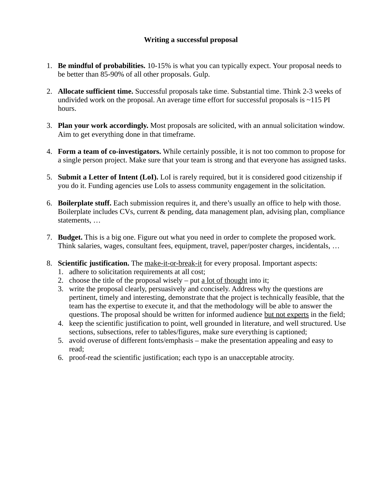## **Writing a successful proposal**

- 1. **Be mindful of probabilities.** 10-15% is what you can typically expect. Your proposal needs to be better than 85-90% of all other proposals. Gulp.
- 2. **Allocate sufficient time.** Successful proposals take time. Substantial time. Think 2-3 weeks of undivided work on the proposal. An average time effort for successful proposals is  $\sim$ 115 PI hours.
- 3. **Plan your work accordingly.** Most proposals are solicited, with an annual solicitation window. Aim to get everything done in that timeframe.
- 4. **Form a team of co-investigators.** While certainly possible, it is not too common to propose for a single person project. Make sure that your team is strong and that everyone has assigned tasks.
- 5. **Submit a Letter of Intent (LoI).** LoI is rarely required, but it is considered good citizenship if you do it. Funding agencies use LoIs to assess community engagement in the solicitation.
- 6. **Boilerplate stuff.** Each submission requires it, and there's usually an office to help with those. Boilerplate includes CVs, current & pending, data management plan, advising plan, compliance statements, …
- 7. **Budget.** This is a big one. Figure out what you need in order to complete the proposed work. Think salaries, wages, consultant fees, equipment, travel, paper/poster charges, incidentals, …
- 8. **Scientific justification.** The make-it-or-break-it for every proposal. Important aspects:
	- 1. adhere to solicitation requirements at all cost;
	- 2. choose the title of the proposal wisely put a lot of thought into it;
	- 3. write the proposal clearly, persuasively and concisely. Address why the questions are pertinent, timely and interesting, demonstrate that the project is technically feasible, that the team has the expertise to execute it, and that the methodology will be able to answer the questions. The proposal should be written for informed audience but not experts in the field;
	- 4. keep the scientific justification to point, well grounded in literature, and well structured. Use sections, subsections, refer to tables/figures, make sure everything is captioned;
	- 5. avoid overuse of different fonts/emphasis make the presentation appealing and easy to read;
	- 6. proof-read the scientific justification; each typo is an unacceptable atrocity.